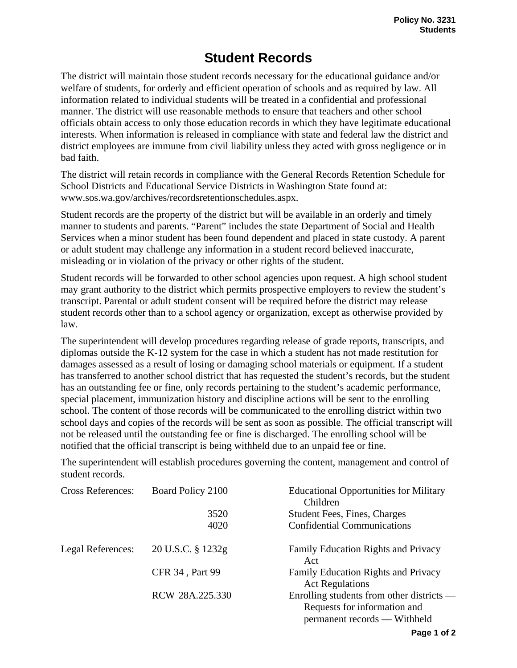## **Student Records**

The district will maintain those student records necessary for the educational guidance and/or welfare of students, for orderly and efficient operation of schools and as required by law. All information related to individual students will be treated in a confidential and professional manner. The district will use reasonable methods to ensure that teachers and other school officials obtain access to only those education records in which they have legitimate educational interests. When information is released in compliance with state and federal law the district and district employees are immune from civil liability unless they acted with gross negligence or in bad faith.

The district will retain records in compliance with the General Records Retention Schedule for School Districts and Educational Service Districts in Washington State found at: www.sos.wa.gov/archives/recordsretentionschedules.aspx.

Student records are the property of the district but will be available in an orderly and timely manner to students and parents. "Parent" includes the state Department of Social and Health Services when a minor student has been found dependent and placed in state custody. A parent or adult student may challenge any information in a student record believed inaccurate, misleading or in violation of the privacy or other rights of the student.

Student records will be forwarded to other school agencies upon request. A high school student may grant authority to the district which permits prospective employers to review the student's transcript. Parental or adult student consent will be required before the district may release student records other than to a school agency or organization, except as otherwise provided by law.

The superintendent will develop procedures regarding release of grade reports, transcripts, and diplomas outside the K-12 system for the case in which a student has not made restitution for damages assessed as a result of losing or damaging school materials or equipment. If a student has transferred to another school district that has requested the student's records, but the student has an outstanding fee or fine, only records pertaining to the student's academic performance, special placement, immunization history and discipline actions will be sent to the enrolling school. The content of those records will be communicated to the enrolling district within two school days and copies of the records will be sent as soon as possible. The official transcript will not be released until the outstanding fee or fine is discharged. The enrolling school will be notified that the official transcript is being withheld due to an unpaid fee or fine.

The superintendent will establish procedures governing the content, management and control of student records.

| <b>Cross References:</b> | Board Policy 2100      | <b>Educational Opportunities for Military</b><br>Children                                                   |
|--------------------------|------------------------|-------------------------------------------------------------------------------------------------------------|
|                          | 3520                   | <b>Student Fees, Fines, Charges</b>                                                                         |
|                          | 4020                   | <b>Confidential Communications</b>                                                                          |
| Legal References:        | 20 U.S.C. § 1232g      | <b>Family Education Rights and Privacy</b><br>Act                                                           |
|                          | <b>CFR 34, Part 99</b> | <b>Family Education Rights and Privacy</b><br><b>Act Regulations</b>                                        |
|                          | RCW 28A.225.330        | Enrolling students from other districts $-$<br>Requests for information and<br>permanent records — Withheld |